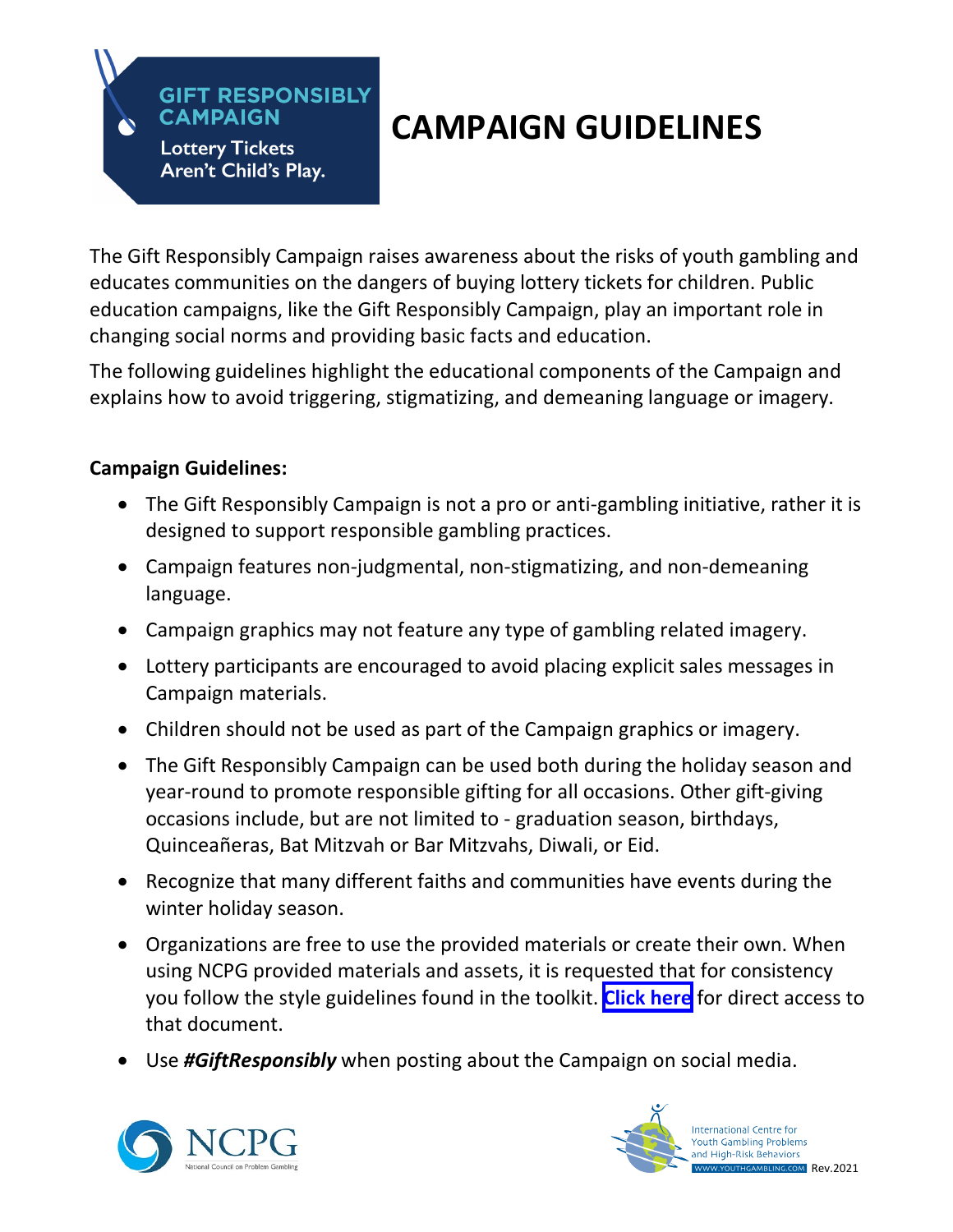# **CAMPAIGN GUIDELINES**

The Gift Responsibly Campaign raises awareness about the risks of youth gambling and educates communities on the dangers of buying lottery tickets for children. Public education campaigns, like the Gift Responsibly Campaign, play an important role in changing social norms and providing basic facts and education.

The following guidelines highlight the educational components of the Campaign and explains how to avoid triggering, stigmatizing, and demeaning language or imagery.

#### **Campaign Guidelines:**

**GIFT RESPONSIBLY** 

**CAMPAIGN** 

**Lottery Tickets** Aren't Child's Play.

- The Gift Responsibly Campaign is not a pro or anti-gambling initiative, rather it is designed to support responsible gambling practices.
- Campaign features non-judgmental, non-stigmatizing, and non-demeaning language.
- Campaign graphics may not feature any type of gambling related imagery.
- Lottery participants are encouraged to avoid placing explicit sales messages in Campaign materials.
- Children should not be used as part of the Campaign graphics or imagery.
- The Gift Responsibly Campaign can be used both during the holiday season and year-round to promote responsible gifting for all occasions. Other gift-giving occasions include, but are not limited to - graduation season, birthdays, Quinceañeras, Bat Mitzvah or Bar Mitzvahs, Diwali, or Eid.
- Recognize that many different faiths and communities have events during the winter holiday season.
- Organizations are free to use the provided materials or create their own. When using NCPG provided materials and assets, it is requested that for consistency you follow the style guidelines found in the toolkit. **[Click here](https://158bvz3v7mohkq9oid5904e0-wpengine.netdna-ssl.com/wp-content/uploads/2021/10/NCPG_Gift-Responsibly-Campaign_Style-Guide-2021.pdf)** for direct access to that document.
- Use *#GiftResponsibly* when posting about the Campaign on social media.